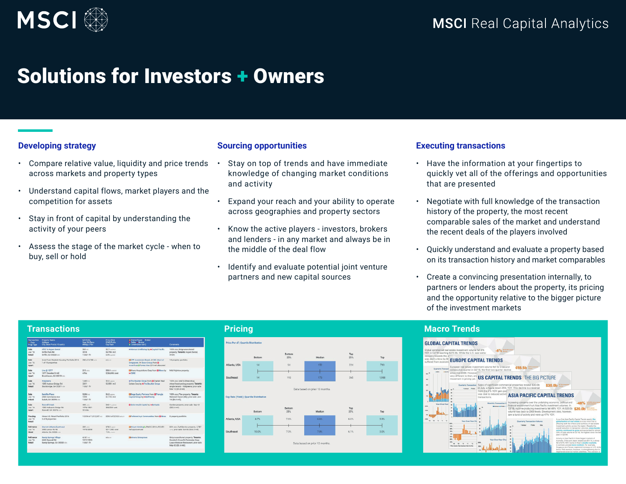

# Solutions for Investors + Owners

# **Developing strategy**

- Compare relative value, liquidity and price trends across markets and property types
- Understand capital flows, market players and the competition for assets
- Stay in front of capital by understanding the activity of your peers
- Assess the stage of the market cycle when to buy, sell or hold

# **Sourcing opportunities**

- Stay on top of trends and have immediate knowledge of changing market conditions and activity
- Expand your reach and your ability to operate across geographies and property sectors
- Know the active players investors, brokers and lenders - in any market and always be in the middle of the deal flow
- Identify and evaluate potential joint venture partners and new capital sources

# **Executing transactions**

- Have the information at your fingertips to quickly vet all of the offerings and opportunities that are presented
- Negotiate with full knowledge of the transaction history of the property, the most recent comparable sales of the market and understand the recent deals of the players involved
- Quickly understand and evaluate a property based on its transaction history and market comparables
- Create a convincing presentation internally, to partners or lenders about the property, its pricing and the opportunity relative to the bigger picture of the investment markets

| <b>Transactions</b>                 |                                                                             |                                            |                                                  |                                                                                                                           |                                                                                                                                            | <b>Pricing</b>                              |                                          |               |        |            |            | <b>Macro Trends</b>                                                                 |                                                                                                                                     |  |
|-------------------------------------|-----------------------------------------------------------------------------|--------------------------------------------|--------------------------------------------------|---------------------------------------------------------------------------------------------------------------------------|--------------------------------------------------------------------------------------------------------------------------------------------|---------------------------------------------|------------------------------------------|---------------|--------|------------|------------|-------------------------------------------------------------------------------------|-------------------------------------------------------------------------------------------------------------------------------------|--|
| * Date<br>Prop Type                 | Transaction Property Name<br>Address<br>City, State Postal /Country         | M2/Units<br>Year Bit/Reno<br>#Bldgs / Film | Price (Sm)<br>S/M2/Units<br>Cap Rate             | <b>B Owner/Buyer</b> Broker<br><b>B</b> Soller # Broker<br>\$ Lender(loan amt)                                            | Comments                                                                                                                                   | <b>Price Per sf   Quartile Distribution</b> |                                          |               |        |            |            |                                                                                     | <b>GLOBAL CAPITAL TRENDS</b>                                                                                                        |  |
| Sale<br><b>Jun 16</b><br>Retail     | AT&T & Asmen Dental<br>Griffin Park Rd<br>Griffin, GA 30223 USA             | $563 - 2$<br>2016<br>1 bld/1 fir           | \$2.7 control<br>\$4,796 /m2<br>6.5% quested     | ** Marcus & Millichap by ** Capital Pacific                                                                               | 100% occ.:Strip/unanchored<br>property: Tenants: Aspen Dental,<br>AT&T:                                                                    |                                             | Bottom                                   | Bottom<br>25% | Median | Top<br>25% |            |                                                                                     | Global commercial real estate investment volume fel<br>YOY in Q2'16 reaching \$273.9b. While the U.S. saw<br>recovery towards the e |  |
| Sale<br><b>Jun 16</b><br>Apart      | InvenTrust Student Housing Portfolio 2016<br>1 of 18 properties             | 268 of 3,788 units                         | m/a con                                          | EXCPP Investment Board JV GIC (Govt of<br>Singapore) JV Scion Group from El<br>InvenTrustillFannie Mae \$74 mil allocated | 18 property portfolio                                                                                                                      | Atlanta, USA                                | 14                                       | 94            | 152    | 224        | Top<br>719 |                                                                                     | was dealt a blow by B<br><b>EUROPE CAPIT</b><br>suffered from econor<br>European real estate investn                                |  |
| Sale<br><b>Jun '16</b><br>Apart     | Live @ 1377<br>1377 Dresden Dr NE<br>Brookhaven, GA 30319 USA               | $215$ units<br>$4$ firs                    | \$50.9 content<br>\$236,908 /unit                | EMivero Acquisitions Corp from EPlines by Mid/Highrise property;<br><b>HICBRE</b>                                         |                                                                                                                                            | Southeast                                   | 14                                       | 113           | 173    | 265        | 1,988      |                                                                                     | Quarterly Transact<br>consecutive quarter in Q2'16<br>since mid-2009. However<br>$-80$ <sup>3</sup><br>very different to then, and  |  |
| Sale<br><b>Jun '16</b><br>Retail    | Walgreens<br>1955 Hudson Bridge Rd<br>Stockbridge, GA 30281 USA             | $1.405 - 2$<br>2001<br>1 bld/1 fir         | \$5.0 appress<br>\$3,550 /m2                     | ++ The Boulder Group from ElCharbel Real<br>Estate Corp by #The Boulder Group                                             | 100% occ.:Mall & Other/drug<br>store/freestanding property; Tenants:<br>single tenant - Walgreens; prior safe:<br>Mar-12 (\$4.3 mill:      |                                             | Data based on prior 12 months            |               |        |            |            | movement in pricing yet.<br>400<br>300<br>Quarterly Transaction<br>. bdway . Public |                                                                                                                                     |  |
| Sale<br><b>Jun '16</b><br>Indust    | <b>Satellite Place</b><br>2435 Commerce Ave.<br><b>Duluth, GA 30096 USA</b> | $5.286 - 1$<br>1999<br>1 bld/1 fir         | $$6.2$ opports<br>\$1,173/m2                     | <b>EStage Equity Partners from BTriangle</b><br>Capital Group by HBull Realty                                             | 100% occ.: Flex property: Tenants:<br>National Vision (HQ); prior sale; Jan-<br>$16(54.4 \text{ mil})$ ;                                   |                                             | Cap Rate (Yield)   Quartile Distribution |               |        |            |            |                                                                                     | 30 <sup>1</sup>                                                                                                                     |  |
| Sale<br><b>Jun '16</b><br>Apart     | <b>Roswell Creek</b><br>1000 Holcomb Bridge Rd<br>Roswell, GA 30076 USA     | $498$ min.<br>1076/1081<br>53 blds         | \$42.1 contest<br>\$84,538 / unit                | <b>B Solon Mack Capital by ++Rerkadia</b>                                                                                 | Garden property; prior sale: Sep-12<br>$(522.4 \text{ m/h})$                                                                               |                                             | Bottom                                   | Bottom<br>25% | Median | Top<br>25% | Top        |                                                                                     | <b><i>Visar, Over N</i></b><br>200%<br>100%                                                                                         |  |
| Pending<br><b>Jun '16</b><br>Retail | Hines U.S. Retail Portfolio 2016<br>2 of 8 properties                       |                                            | 15.954 of 1.012.207 = 0 \$29.0 of \$210.0 about  | <b>CPreferred Apt Communities from ED-ines</b> 8 property portfolio.                                                      |                                                                                                                                            | Atlanta, USA                                | 8.7%                                     | 7.6%          | 6.6%   | 6.0%       | 5.5%       |                                                                                     | · » upp-<br>$-930%$<br>11 07 07 37<br>Year-Over-Year Ch.<br><b>MA</b>                                                               |  |
| Refinance<br>Jun 16<br>Hotel        | Maniett Atlanta Buckhead<br>3405 Lenox Rd NE<br>Atlanta, GA 30326 uta       | 369 uns<br>1975/2008                       | \$78.0 approl<br>\$211,382 / unit<br>7.5% unants | EMarkum HoldingSLIPMCC 2016-JP2 \$51<br>mil approximate                                                                   | 80% occ./Full-Service property, 2,787<br>untic prior sale: Oct-06 (\$44.0 mil);                                                            | Southeast                                   | 10.0%                                    | 7.9%          | 7.0%   | 6.1%       | 3.0%       |                                                                                     | 295<br>ses.<br>25%<br>m <sub>1</sub>                                                                                                |  |
| Refinance<br>Jun '16<br>Retail      | Sandy Springs Village<br>6650 Roowell Rd<br>Sandy Springs, GA 30328 USA     | $4.181 - 2$<br>1977/1999<br>1 bld/1 flr.   | fid a con-                                       | <b>EX</b> Almons Enterprises                                                                                              | Strip/unanchored property; Tenants:<br>Goodwill, CrossFit Perimeter, Huey<br>Lueys Mexican Restaurant; prior sale:<br>May 02 (\$5.6 mill): |                                             | Data based on prior 12 months.           |               |        |            |            |                                                                                     | $\frac{m}{m}$<br><b>100m briusted Read Australia Hotel Day Star</b>                                                                 |  |
|                                     |                                                                             |                                            |                                                  |                                                                                                                           |                                                                                                                                            |                                             |                                          |               |        |            |            |                                                                                     |                                                                                                                                     |  |